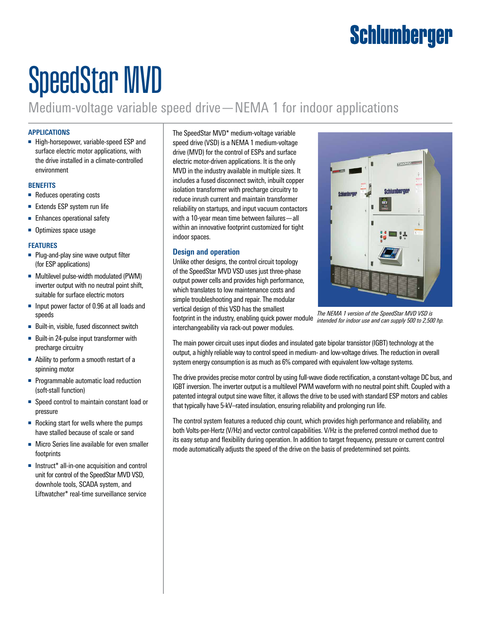## Schlumberger

# SpeedStar MVD

Medium-voltage variable speed drive—NEMA 1 for indoor applications

#### **APPLICATIONS**

■ High-horsepower, variable-speed ESP and surface electric motor applications, with the drive installed in a climate-controlled environment

#### **BENEFITS**

- Reduces operating costs
- Extends ESP system run life
- Enhances operational safety
- Optimizes space usage

#### **FEATURES**

- Plug-and-play sine wave output filter (for ESP applications)
- Multilevel pulse-width modulated (PWM) inverter output with no neutral point shift, suitable for surface electric motors
- Input power factor of 0.96 at all loads and speeds
- Built-in, visible, fused disconnect switch
- Built-in 24-pulse input transformer with precharge circuitry
- Ability to perform a smooth restart of a spinning motor
- Programmable automatic load reduction (soft-stall function)
- Speed control to maintain constant load or pressure
- Rocking start for wells where the pumps have stalled because of scale or sand
- Micro Series line available for even smaller footprints
- Instruct<sup>\*</sup> all-in-one acquisition and control unit for control of the SpeedStar MVD VSD, downhole tools, SCADA system, and Liftwatcher\* real-time surveillance service

The SpeedStar MVD\* medium-voltage variable speed drive (VSD) is a NEMA 1 medium-voltage drive (MVD) for the control of ESPs and surface electric motor-driven applications. It is the only MVD in the industry available in multiple sizes. It includes a fused disconnect switch, inbuilt copper isolation transformer with precharge circuitry to reduce inrush current and maintain transformer reliability on startups, and input vacuum contactors with a 10-year mean time between failures—all within an innovative footprint customized for tight indoor spaces.

#### **Design and operation**

Unlike other designs, the control circuit topology of the SpeedStar MVD VSD uses just three-phase output power cells and provides high performance, which translates to low maintenance costs and simple troubleshooting and repair. The modular vertical design of this VSD has the smallest



*The NEMA 1 version of the SpeedStar MVD VSD is intended for indoor use and can supply 500 to 2,500 hp.*

footprint in the industry, enabling quick power module interchangeability via rack-out power modules.

The main power circuit uses input diodes and insulated gate bipolar transistor (IGBT) technology at the output, a highly reliable way to control speed in medium- and low-voltage drives. The reduction in overall system energy consumption is as much as 6% compared with equivalent low-voltage systems.

The drive provides precise motor control by using full-wave diode rectification, a constant-voltage DC bus, and IGBT inversion. The inverter output is a multilevel PWM waveform with no neutral point shift. Coupled with a patented integral output sine wave filter, it allows the drive to be used with standard ESP motors and cables that typically have 5-kV–rated insulation, ensuring reliability and prolonging run life.

The control system features a reduced chip count, which provides high performance and reliability, and both Volts-per-Hertz (V/Hz) and vector control capabilities. V/Hz is the preferred control method due to its easy setup and flexibility during operation. In addition to target frequency, pressure or current control mode automatically adjusts the speed of the drive on the basis of predetermined set points.